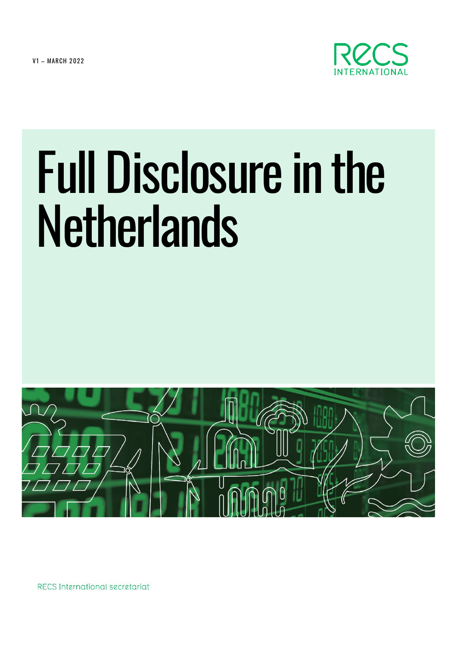**V1 - MARCH 2022** 



# Full Disclosure in the **Netherlands**



RECS International secretariat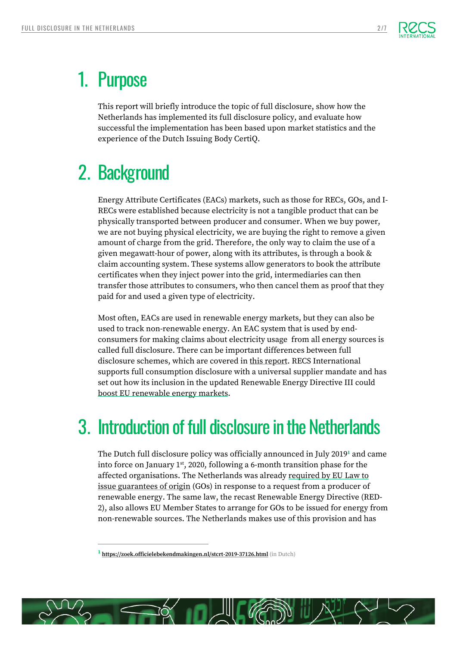

## 1. Purpose

This report will briefly introduce the topic of full disclosure, show how the Netherlands has implemented its full disclosure policy, and evaluate how successful the implementation has been based upon market statistics and the experience of the Dutch Issuing Body CertiQ.

# 2. Background

Energy Attribute Certificates (EACs) markets, such as those for RECs, GOs, and I-RECs were established because electricity is not a tangible product that can be physically transported between producer and consumer. When we buy power, we are not buying physical electricity, we are buying the right to remove a given amount of charge from the grid. Therefore, the only way to claim the use of a given megawatt-hour of power, along with its attributes, is through a book & claim accounting system. These systems allow generators to book the attribute certificates when they inject power into the grid, intermediaries can then transfer those attributes to consumers, who then cancel them as proof that they paid for and used a given type of electricity.

Most often, EACs are used in renewable energy markets, but they can also be used to track non-renewable energy. An EAC system that is used by endconsumers for making claims about electricity usage from all energy sources is called full disclosure. There can be important differences between full disclosure schemes, which are covered in [this report.](https://recs.org/download/?file=RECS-International-What-full-disclosure-means-and-why-it-is-so-important_FINAL.pdf&file_type=documents) RECS International supports full consumption disclosure with a universal supplier mandate and has set out how its inclusion in the updated Renewable Energy Directive III could [boost EU renewable energy markets.](https://recs.org/download/?file=How-the-RED-3-can-boost-EU-renewable-energy-markets_FINAL.pdf&file_type=documents)

# 3. Introduction of full disclosure in the Netherlands

The Dutch full disclosure policy was officially announced in July 2019**<sup>1</sup>** and came into force on January  $1<sup>st</sup>$ , 2020, following a 6-month transition phase for the affected organisations. The Netherlands was already [required by EU Law to](https://eur-lex.europa.eu/legal-content/EN/TXT/HTML/?uri=CELEX:32018L2001&from=EN#d1e2650-82-1)  [issue guarantees of origin](https://eur-lex.europa.eu/legal-content/EN/TXT/HTML/?uri=CELEX:32018L2001&from=EN#d1e2650-82-1) (GOs) in response to a request from a producer of renewable energy. The same law, the recast Renewable Energy Directive (RED-2), also allows EU Member States to arrange for GOs to be issued for energy from non-renewable sources. The Netherlands makes use of this provision and has



**<sup>1</sup> <https://zoek.officielebekendmakingen.nl/stcrt-2019-37126.html>** (in Dutch)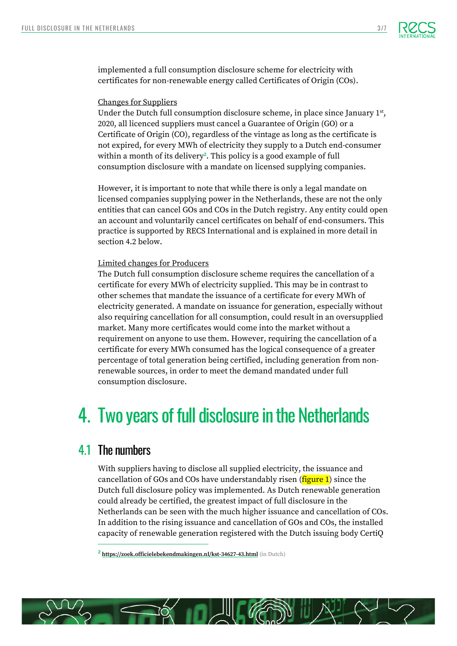

implemented a full consumption disclosure scheme for electricity with certificates for non-renewable energy called Certificates of Origin (COs).

#### Changes for Suppliers

Under the Dutch full consumption disclosure scheme, in place since January  $1<sup>st</sup>$ , 2020, all licenced suppliers must cancel a Guarantee of Origin (GO) or a Certificate of Origin (CO), regardless of the vintage as long as the certificate is not expired, for every MWh of electricity they supply to a Dutch end-consumer within a month of its delivery**<sup>2</sup>** . This policy is a good example of full consumption disclosure with a mandate on licensed supplying companies.

However, it is important to note that while there is only a legal mandate on licensed companies supplying power in the Netherlands, these are not the only entities that can cancel GOs and COs in the Dutch registry. Any entity could open an account and voluntarily cancel certificates on behalf of end-consumers. This practice is supported by RECS International and is explained in more detail in section 4.2 below.

#### Limited changes for Producers

The Dutch full consumption disclosure scheme requires the cancellation of a certificate for every MWh of electricity supplied. This may be in contrast to other schemes that mandate the issuance of a certificate for every MWh of electricity generated. A mandate on issuance for generation, especially without also requiring cancellation for all consumption, could result in an oversupplied market. Many more certificates would come into the market without a requirement on anyone to use them. However, requiring the cancellation of a certificate for every MWh consumed has the logical consequence of a greater percentage of total generation being certified, including generation from nonrenewable sources, in order to meet the demand mandated under full consumption disclosure.

## 4. Two years of full disclosure in the Netherlands

### 4.1 The numbers

With suppliers having to disclose all supplied electricity, the issuance and cancellation of GOs and COs have understandably risen (**figure 1**) since the Dutch full disclosure policy was implemented. As Dutch renewable generation could already be certified, the greatest impact of full disclosure in the Netherlands can be seen with the much higher issuance and cancellation of COs. In addition to the rising issuance and cancellation of GOs and COs, the installed capacity of renewable generation registered with the Dutch issuing body CertiQ



**<sup>2</sup> <https://zoek.officielebekendmakingen.nl/kst-34627-43.html>** (in Dutch)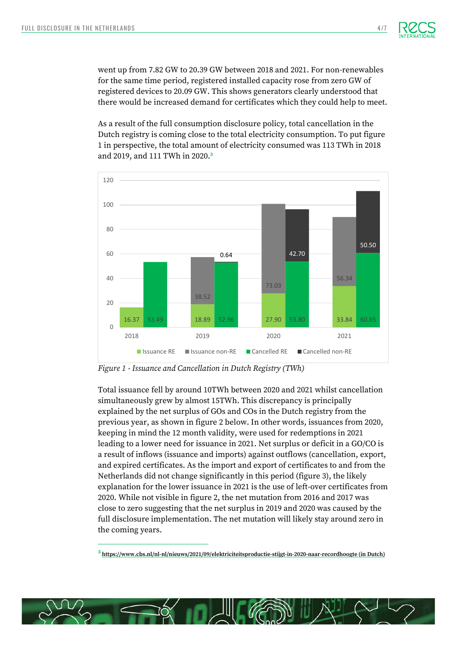

went up from 7.82 GW to 20.39 GW between 2018 and 2021. For non-renewables for the same time period, registered installed capacity rose from zero GW of registered devices to 20.09 GW. This shows generators clearly understood that there would be increased demand for certificates which they could help to meet.

As a result of the full consumption disclosure policy, total cancellation in the Dutch registry is coming close to the total electricity consumption. To put figure 1 in perspective, the total amount of electricity consumed was 113 TWh in 2018 and 2019, and 111 TWh in 2020. **3**



*Figure 1 - Issuance and Cancellation in Dutch Registry (TWh)*

Total issuance fell by around 10TWh between 2020 and 2021 whilst cancellation simultaneously grew by almost 15TWh. This discrepancy is principally explained by the net surplus of GOs and COs in the Dutch registry from the previous year, as shown in figure 2 below. In other words, issuances from 2020, keeping in mind the 12 month validity, were used for redemptions in 2021 leading to a lower need for issuance in 2021. Net surplus or deficit in a GO/CO is a result of inflows (issuance and imports) against outflows (cancellation, export, and expired certificates. As the import and export of certificates to and from the Netherlands did not change significantly in this period (figure 3), the likely explanation for the lower issuance in 2021 is the use of left-over certificates from 2020. While not visible in figure 2, the net mutation from 2016 and 2017 was close to zero suggesting that the net surplus in 2019 and 2020 was caused by the full disclosure implementation. The net mutation will likely stay around zero in the coming years.

**3 <https://www.cbs.nl/nl-nl/nieuws/2021/09/elektriciteitsproductie-stijgt-in-2020-naar-recordhoogte> (in Dutch)**

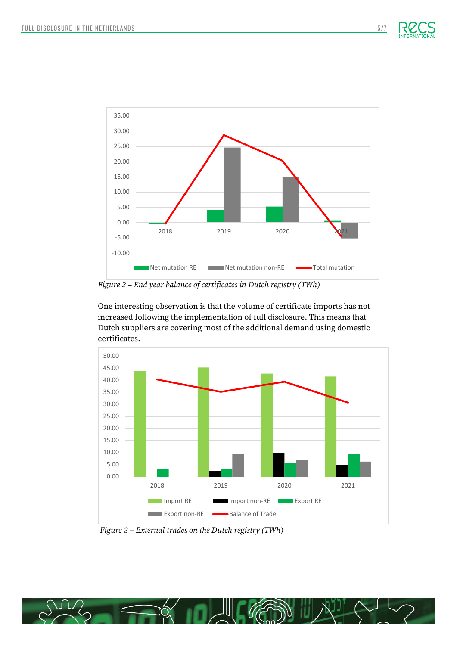



*Figure 2 – End year balance of certificates in Dutch registry (TWh)*

One interesting observation is that the volume of certificate imports has not increased following the implementation of full disclosure. This means that Dutch suppliers are covering most of the additional demand using domestic certificates.



*Figure 3 – External trades on the Dutch registry (TWh)*

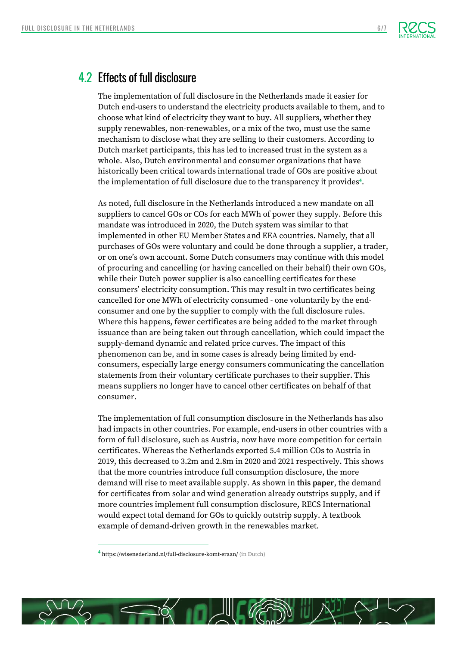

## 4.2 Effects of full disclosure

The implementation of full disclosure in the Netherlands made it easier for Dutch end-users to understand the electricity products available to them, and to choose what kind of electricity they want to buy. All suppliers, whether they supply renewables, non-renewables, or a mix of the two, must use the same mechanism to disclose what they are selling to their customers. According to Dutch market participants, this has led to increased trust in the system as a whole. Also, Dutch environmental and consumer organizations that have historically been critical towards international trade of GOs are positive about the implementation of full disclosure due to the transparency it provides**<sup>4</sup>** .

As noted, full disclosure in the Netherlands introduced a new mandate on all suppliers to cancel GOs or COs for each MWh of power they supply. Before this mandate was introduced in 2020, the Dutch system was similar to that implemented in other EU Member States and EEA countries. Namely, that all purchases of GOs were voluntary and could be done through a supplier, a trader, or on one's own account. Some Dutch consumers may continue with this model of procuring and cancelling (or having cancelled on their behalf) their own GOs, while their Dutch power supplier is also cancelling certificates for these consumers' electricity consumption. This may result in two certificates being cancelled for one MWh of electricity consumed - one voluntarily by the endconsumer and one by the supplier to comply with the full disclosure rules. Where this happens, fewer certificates are being added to the market through issuance than are being taken out through cancellation, which could impact the supply-demand dynamic and related price curves. The impact of this phenomenon can be, and in some cases is already being limited by endconsumers, especially large energy consumers communicating the cancellation statements from their voluntary certificate purchases to their supplier. This means suppliers no longer have to cancel other certificates on behalf of that consumer.

The implementation of full consumption disclosure in the Netherlands has also had impacts in other countries. For example, end-users in other countries with a form of full disclosure, such as Austria, now have more competition for certain certificates. Whereas the Netherlands exported 5.4 million COs to Austria in 2019, this decreased to 3.2m and 2.8m in 2020 and 2021 respectively. This shows that the more countries introduce full consumption disclosure, the more demand will rise to meet available supply. As shown in **[this paper](https://recs.org/download/?file=The-supply-demand-of-European-renewable-energy_FINAL.pdf&file_type=documents)**, the demand for certificates from solar and wind generation already outstrips supply, and if more countries implement full consumption disclosure, RECS International would expect total demand for GOs to quickly outstrip supply. A textbook example of demand-driven growth in the renewables market.



**<sup>4</sup>** <https://wisenederland.nl/full-disclosure-komt-eraan/> (in Dutch)